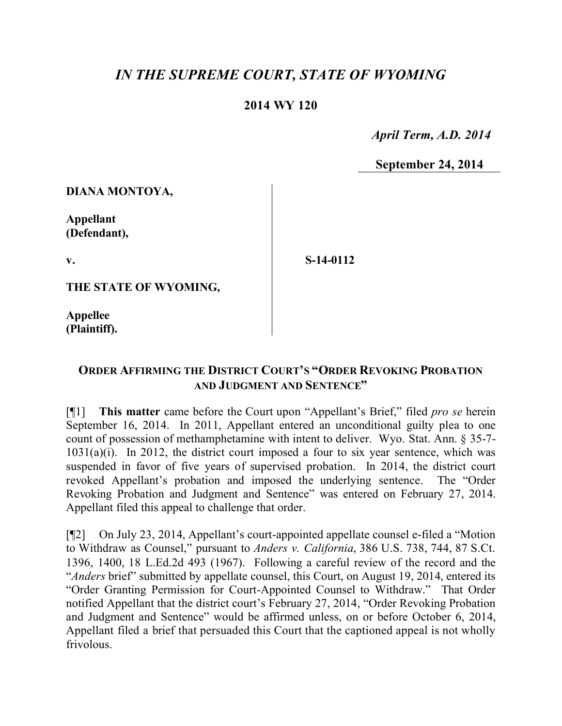# *IN THE SUPREME COURT, STATE OF WYOMING*

## **2014 WY 120**

 *April Term, A.D. 2014*

**September 24, 2014**

**DIANA MONTOYA,**

**Appellant (Defendant),**

**v.**

**S-14-0112**

**THE STATE OF WYOMING,**

**Appellee (Plaintiff).**

### **ORDER AFFIRMING THE DISTRICT COURT'S "ORDER REVOKING PROBATION AND JUDGMENT AND SENTENCE"**

[¶1] **This matter** came before the Court upon "Appellant's Brief," filed *pro se* herein September 16, 2014. In 2011, Appellant entered an unconditional guilty plea to one count of possession of methamphetamine with intent to deliver. Wyo. Stat. Ann. § 35-7-  $1031(a)(i)$ . In 2012, the district court imposed a four to six year sentence, which was suspended in favor of five years of supervised probation. In 2014, the district court revoked Appellant's probation and imposed the underlying sentence. The "Order Revoking Probation and Judgment and Sentence" was entered on February 27, 2014. Appellant filed this appeal to challenge that order.

[¶2] On July 23, 2014, Appellant's court-appointed appellate counsel e-filed a "Motion to Withdraw as Counsel," pursuant to *Anders v. California*, 386 U.S. 738, 744, 87 S.Ct. 1396, 1400, 18 L.Ed.2d 493 (1967). Following a careful review of the record and the "*Anders* brief" submitted by appellate counsel, this Court, on August 19, 2014, entered its "Order Granting Permission for Court-Appointed Counsel to Withdraw." That Order notified Appellant that the district court's February 27, 2014, "Order Revoking Probation and Judgment and Sentence" would be affirmed unless, on or before October 6, 2014, Appellant filed a brief that persuaded this Court that the captioned appeal is not wholly frivolous.